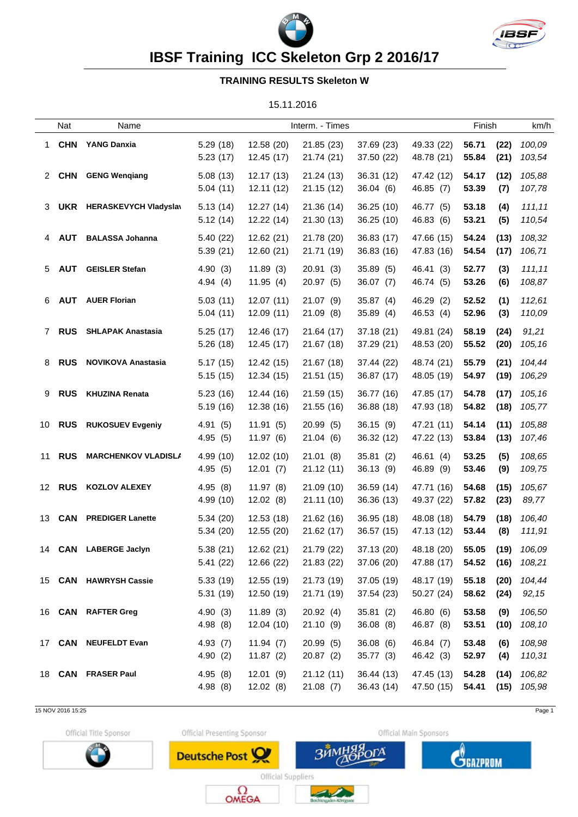



**IBSF Training ICC Skeleton Grp 2 2016/17**

## **TRAINING RESULTS Skeleton W**

15.11.2016

|    | Nat           | Name                         |                      |                          | Interm. - Times          |                          |                                            | Finish         |              | km/h                      |
|----|---------------|------------------------------|----------------------|--------------------------|--------------------------|--------------------------|--------------------------------------------|----------------|--------------|---------------------------|
| 1  |               | <b>CHN</b> YANG Danxia       | 5.29(18)<br>5.23(17) | 12.58 (20)<br>12.45 (17) | 21.85 (23)<br>21.74 (21) | 37.69 (23)<br>37.50 (22) | 49.33 (22)<br>48.78 (21)                   | 56.71<br>55.84 | (22)<br>(21) | 100,09<br>103,54          |
|    | 2 CHN         | <b>GENG Wengiang</b>         | 5.08(13)<br>5.04(11) | 12.17(13)<br>12.11(12)   | 21.24 (13)<br>21.15(12)  | 36.31 (12)<br>36.04(6)   | 47.42 (12)<br>46.85 (7)                    | 54.17<br>53.39 | (12)<br>(7)  | 105,88<br>107,78          |
| 3  | <b>UKR</b>    | <b>HERASKEVYCH Vladyslav</b> | 5.13(14)<br>5.12(14) | 12.27(14)<br>12.22 (14)  | 21.36 (14)<br>21.30 (13) | 36.25 (10)<br>36.25(10)  | 46.77 (5)<br>46.83 (6)                     | 53.18<br>53.21 | (4)<br>(5)   | 111,11<br>110,54          |
| 4  | <b>AUT</b>    | <b>BALASSA Johanna</b>       | 5.40(22)<br>5.39(21) | 12.62 (21)<br>12.60(21)  | 21.78 (20)<br>21.71 (19) | 36.83 (17)<br>36.83 (16) | 47.66 (15)<br>47.83 (16)                   | 54.24<br>54.54 | (13)<br>(17) | 108,32<br>106,71          |
| 5  | <b>AUT</b>    | <b>GEISLER Stefan</b>        | 4.90(3)<br>4.94(4)   | 11.89(3)<br>11.95(4)     | 20.91(3)<br>20.97 (5)    | 35.89 (5)<br>36.07(7)    | 46.41 (3)<br>46.74 (5)                     | 52.77<br>53.26 | (3)<br>(6)   | 111,11<br>108,87          |
| 6. | <b>AUT</b>    | <b>AUER Florian</b>          | 5.03(11)<br>5.04(11) | 12.07(11)<br>12.09(11)   | 21.07(9)<br>21.09(8)     | 35.87(4)<br>35.89(4)     | 46.29 (2)<br>46.53 (4)                     | 52.52<br>52.96 | (1)<br>(3)   | 112,61<br>110,09          |
| 7  | <b>RUS</b>    | <b>SHLAPAK Anastasia</b>     | 5.25(17)<br>5.26(18) | 12.46 (17)<br>12.45 (17) | 21.64 (17)<br>21.67 (18) | 37.18 (21)<br>37.29 (21) | 49.81 (24)<br>48.53 (20)                   | 58.19<br>55.52 | (24)<br>(20) | 91,21<br>105,16           |
| 8  | <b>RUS</b>    | <b>NOVIKOVA Anastasia</b>    | 5.17(15)<br>5.15(15) | 12.42(15)<br>12.34 (15)  | 21.67 (18)<br>21.51 (15) | 37.44 (22)<br>36.87 (17) | 48.74 (21)<br>48.05 (19)                   | 55.79<br>54.97 | (21)<br>(19) | 104,44<br>106,29          |
| 9  | <b>RUS</b>    | <b>KHUZINA Renata</b>        | 5.23(16)<br>5.19(16) | 12.44 (16)<br>12.38 (16) | 21.59(15)<br>21.55 (16)  | 36.77 (16)<br>36.88 (18) | 47.85 (17)<br>47.93 (18)                   | 54.78<br>54.82 | (17)<br>(18) | 105,16<br>105,77          |
| 10 | <b>RUS</b>    | <b>RUKOSUEV Evgeniy</b>      | 4.91(5)<br>4.95(5)   | 11.91(5)<br>11.97(6)     | 20.99(5)<br>21.04(6)     | 36.15(9)<br>36.32 (12)   | 47.21 (11)<br>47.22 (13)                   | 54.14<br>53.84 | (11)<br>(13) | 105,88<br>107,46          |
|    | 11 <b>RUS</b> | <b>MARCHENKOV VLADISLA</b>   | 4.99 (10)<br>4.95(5) | 12.02(10)<br>12.01(7)    | 21.01(8)<br>21.12 (11)   | 35.81(2)<br>36.13(9)     | 46.61 (4)<br>46.89 (9)                     | 53.25<br>53.46 | (5)<br>(9)   | 108,65<br>109,75          |
|    | 12 <b>RUS</b> | <b>KOZLOV ALEXEY</b>         | 4.95(8)<br>4.99(10)  | 11.97(8)<br>12.02(8)     | 21.09 (10)<br>21.11 (10) | 36.59 (14)<br>36.36 (13) | 47.71 (16)<br>49.37 (22)                   | 54.68<br>57.82 | (15)<br>(23) | 105,67<br>89,77           |
|    | 13 <b>CAN</b> | <b>PREDIGER Lanette</b>      | 5.34(20)<br>5.34(20) | 12.53 (18)<br>12.55(20)  | 21.62 (16)<br>21.62 (17) | 36.95 (18)<br>36.57 (15) | 48.08 (18)<br>47.13 (12)                   | 54.79<br>53.44 | (18)<br>(8)  | 106,40<br>111,91          |
|    |               | 14 CAN LABERGE Jaclyn        | 5.38(21)<br>5.41(22) | 12.62(21)<br>12.66 (22)  | 21.79 (22)<br>21.83 (22) | 37.13 (20)<br>37.06 (20) | 48.18 (20)<br>47.88 (17) 54.52 (16) 108,21 | 55.05          | (19)         | 106,09                    |
|    |               | 15 CAN HAWRYSH Cassie        | 5.33(19)<br>5.31(19) | 12.55 (19)<br>12.50 (19) | 21.73 (19)<br>21.71 (19) | 37.05 (19)<br>37.54(23)  | 48.17 (19)<br>50.27(24)                    | 55.18<br>58.62 | (20)<br>(24) | 104,44<br>92, 15          |
|    |               | 16 CAN RAFTER Greg           | 4.90(3)<br>4.98(8)   | 11.89(3)<br>12.04(10)    | 20.92(4)<br>21.10(9)     | 35.81(2)<br>36.08(8)     | 46.80 (6)<br>46.87 (8)                     | 53.58<br>53.51 | (9)<br>(10)  | 106,50<br>108,10          |
|    |               | 17 CAN NEUFELDT Evan         | 4.93(7)<br>4.90(2)   | 11.94(7)<br>11.87(2)     | 20.99 (5)<br>20.87(2)    | 36.08(6)<br>35.77(3)     | 46.84 (7)<br>46.42 (3)                     | 53.48<br>52.97 | (6)<br>(4)   | 108,98<br>110,31          |
|    |               | 18 CAN FRASER Paul           | 4.95(8)<br>4.98(8)   | 12.01(9)<br>12.02(8)     | 21.12(11)<br>21.08(7)    | 36.44 (13)<br>36.43 (14) | 47.45 (13)<br>47.50 (15)                   | 54.28<br>54.41 | (14)         | 106,82<br>$(15)$ $105,98$ |

<sup>15</sup> NOV 2016 15:25 Page 1

Official Title Sponsor



Official Presenting Sponsor

Deutsche Post

Official Main Sponsors

ГÄ



Official Suppliers  $\Omega_{\text{OMEGA}}$ 

**ЗЙМ** 

ر س